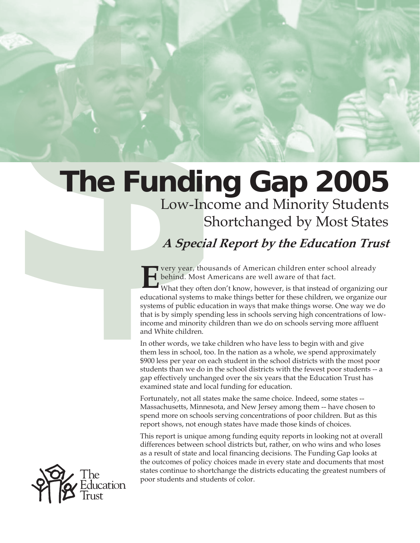# **The Funding Gap 2005**<br>
Low-Income and Minority Students<br>
Shortchanged by Most States<br> *A Special Report by the Education Trust*<br> *B* was the state of a media of American didden after school already<br> **However, we are throu** Low-Income and Minority Students

Shortchanged by Most States

# **A Special Report by the Education Trust**

**EVERICA** very year, thousands of American children enter school already behind. Most Americans are well aware of that fact.<br>What they often don't know, however, is that instead of organizing our behind. Most Americans are well aware of that fact.

educational systems to make things better for these children, we organize our systems of public education in ways that make things worse. One way we do that is by simply spending less in schools serving high concentrations of lowincome and minority children than we do on schools serving more affluent and White children.

In other words, we take children who have less to begin with and give them less in school, too. In the nation as a whole, we spend approximately \$900 less per year on each student in the school districts with the most poor students than we do in the school districts with the fewest poor students -- a gap effectively unchanged over the six years that the Education Trust has examined state and local funding for education.

Fortunately, not all states make the same choice. Indeed, some states -- Massachusetts, Minnesota, and New Jersey among them -- have chosen to spend more on schools serving concentrations of poor children. But as this report shows, not enough states have made those kinds of choices.

This report is unique among funding equity reports in looking not at overall differences between school districts but, rather, on who wins and who loses as a result of state and local financing decisions. The Funding Gap looks at the outcomes of policy choices made in every state and documents that most states continue to shortchange the districts educating the greatest numbers of poor students and students of color.

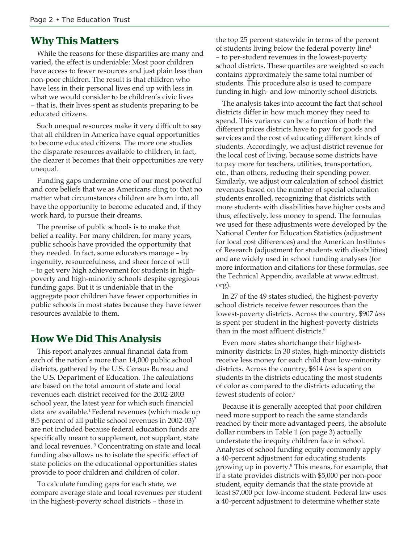# **Why This Matters**

While the reasons for these disparities are many and varied, the effect is undeniable: Most poor children have access to fewer resources and just plain less than non-poor children. The result is that children who have less in their personal lives end up with less in what we would consider to be children's civic lives – that is, their lives spent as students preparing to be educated citizens.

Such unequal resources make it very difficult to say that all children in America have equal opportunities to become educated citizens. The more one studies the disparate resources available to children, in fact, the clearer it becomes that their opportunities are very unequal.

Funding gaps undermine one of our most powerful and core beliefs that we as Americans cling to: that no matter what circumstances children are born into, all have the opportunity to become educated and, if they work hard, to pursue their dreams.

The premise of public schools is to make that belief a reality. For many children, for many years, public schools have provided the opportunity that they needed. In fact, some educators manage – by ingenuity, resourcefulness, and sheer force of will – to get very high achievement for students in highpoverty and high-minority schools despite egregious funding gaps. But it is undeniable that in the aggregate poor children have fewer opportunities in public schools in most states because they have fewer resources available to them.

# **How We Did This Analysis**

This report analyzes annual financial data from each of the nation's more than 14,000 public school districts, gathered by the U.S. Census Bureau and the U.S. Department of Education. The calculations are based on the total amount of state and local revenues each district received for the 2002-2003 school year, the latest year for which such financial data are available.1 Federal revenues (which made up 8.5 percent of all public school revenues in 2002-03)2 are not included because federal education funds are specifically meant to supplement, not supplant, state and local revenues. 3 Concentrating on state and local funding also allows us to isolate the specific effect of state policies on the educational opportunities states provide to poor children and children of color.

To calculate funding gaps for each state, we compare average state and local revenues per student in the highest-poverty school districts – those in

the top 25 percent statewide in terms of the percent of students living below the federal poverty line4 – to per-student revenues in the lowest-poverty school districts. These quartiles are weighted so each contains approximately the same total number of students. This procedure also is used to compare funding in high- and low-minority school districts.

The analysis takes into account the fact that school districts differ in how much money they need to spend. This variance can be a function of both the different prices districts have to pay for goods and services and the cost of educating different kinds of students. Accordingly, we adjust district revenue for the local cost of living, because some districts have to pay more for teachers, utilities, transportation, etc., than others, reducing their spending power. Similarly, we adjust our calculation of school district revenues based on the number of special education students enrolled, recognizing that districts with more students with disabilities have higher costs and thus, effectively, less money to spend. The formulas we used for these adjustments were developed by the National Center for Education Statistics (adjustment for local cost differences) and the American Institutes of Research (adjustment for students with disabilities) and are widely used in school funding analyses (for more information and citations for these formulas, see the Technical Appendix, available at www.edtrust. org).

In 27 of the 49 states studied, the highest-poverty school districts receive fewer resources than the lowest-poverty districts. Across the country, \$907 *less* is spent per student in the highest-poverty districts than in the most affluent districts.<sup>6</sup>

Even more states shortchange their highestminority districts: In 30 states, high-minority districts receive less money for each child than low-minority districts. Across the country, \$614 *less* is spent on students in the districts educating the most students of color as compared to the districts educating the fewest students of color.7

Because it is generally accepted that poor children need more support to reach the same standards reached by their more advantaged peers, the absolute dollar numbers in Table 1 (on page 3) actually understate the inequity children face in school. Analyses of school funding equity commonly apply a 40-percent adjustment for educating students growing up in poverty.8 This means, for example, that if a state provides districts with \$5,000 per non-poor student, equity demands that the state provide at least \$7,000 per low-income student. Federal law uses a 40-percent adjustment to determine whether state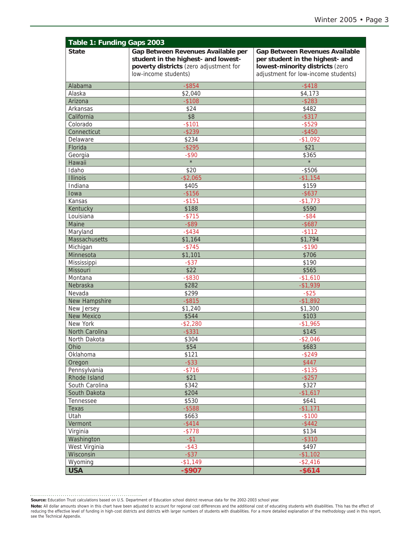| Table 1: Funding Gaps 2003 |                                                                                                                                             |                                                                                                                                                    |  |  |
|----------------------------|---------------------------------------------------------------------------------------------------------------------------------------------|----------------------------------------------------------------------------------------------------------------------------------------------------|--|--|
| <b>State</b>               | Gap Between Revenues Available per<br>student in the highest- and lowest-<br>poverty districts (zero adjustment for<br>low-income students) | <b>Gap Between Revenues Available</b><br>per student in the highest- and<br>lowest-minority districts (zero<br>adjustment for low-income students) |  |  |
| Alabama                    | $-$ \$854                                                                                                                                   | $-$ \$418                                                                                                                                          |  |  |
| Alaska                     | \$2,040                                                                                                                                     | \$4,173                                                                                                                                            |  |  |
| Arizona                    | $-$ \$108                                                                                                                                   | $-$ \$283                                                                                                                                          |  |  |
| Arkansas                   | \$24                                                                                                                                        | \$482                                                                                                                                              |  |  |
| California                 | \$8                                                                                                                                         | $-$ \$317                                                                                                                                          |  |  |
| Colorado                   | $-$101$                                                                                                                                     | $-$ \$529                                                                                                                                          |  |  |
| Connecticut                | $-$ \$239                                                                                                                                   | $-$ \$450                                                                                                                                          |  |  |
| Delaware                   | \$234                                                                                                                                       | $-$ \$1,092                                                                                                                                        |  |  |
| Florida                    | $-$ \$295                                                                                                                                   | \$21                                                                                                                                               |  |  |
| Georgia                    | $-$ \$90                                                                                                                                    | \$365                                                                                                                                              |  |  |
| Hawaii                     | $\star$                                                                                                                                     | $\star$                                                                                                                                            |  |  |
| Idaho                      | \$20                                                                                                                                        | $-$ \$506                                                                                                                                          |  |  |
| <b>Illinois</b>            | $-$ \$2,065                                                                                                                                 | $-$1,154$                                                                                                                                          |  |  |
| Indiana                    | \$405                                                                                                                                       | \$159                                                                                                                                              |  |  |
| Iowa                       | $-$ \$156                                                                                                                                   | $-$ \$637                                                                                                                                          |  |  |
| Kansas                     | $-$ \$151                                                                                                                                   | $-$1,773$                                                                                                                                          |  |  |
| Kentucky                   | \$188                                                                                                                                       | \$590                                                                                                                                              |  |  |
| Louisiana                  | $-$ \$715                                                                                                                                   | $-$ \$84                                                                                                                                           |  |  |
| Maine                      | $-$ \$89                                                                                                                                    | $-$ \$687                                                                                                                                          |  |  |
| Maryland                   | $-$ \$434                                                                                                                                   | $-$ \$112                                                                                                                                          |  |  |
| Massachusetts              | \$1,164                                                                                                                                     | \$1,794                                                                                                                                            |  |  |
| Michigan                   | $-$ \$745                                                                                                                                   | $-$190$                                                                                                                                            |  |  |
| Minnesota                  | \$1,101                                                                                                                                     | \$706                                                                                                                                              |  |  |
| Mississippi                | $-$ \$37                                                                                                                                    | \$190                                                                                                                                              |  |  |
| Missouri                   | \$22                                                                                                                                        | \$565                                                                                                                                              |  |  |
| Montana                    | $-$ \$830                                                                                                                                   | $-$1,610$                                                                                                                                          |  |  |
| Nebraska                   | \$282                                                                                                                                       | $-$1,939$                                                                                                                                          |  |  |
| Nevada                     | \$299                                                                                                                                       | $-$ \$25                                                                                                                                           |  |  |
| New Hampshire              | $-$ \$815                                                                                                                                   | $-$ \$1,892                                                                                                                                        |  |  |
| New Jersey                 | \$1,240                                                                                                                                     | \$1,300                                                                                                                                            |  |  |
| New Mexico                 | \$544                                                                                                                                       | \$103                                                                                                                                              |  |  |
| New York                   | $-$ \$2,280                                                                                                                                 | $-$1,965$                                                                                                                                          |  |  |
| North Carolina             | $-$ \$331                                                                                                                                   | \$145                                                                                                                                              |  |  |
| North Dakota               | \$304                                                                                                                                       | $-$2,046$                                                                                                                                          |  |  |
| Ohio                       | \$54                                                                                                                                        | \$683                                                                                                                                              |  |  |
| Oklahoma                   | \$121                                                                                                                                       | $-$ \$249                                                                                                                                          |  |  |
| Oregon                     | $-$ \$33                                                                                                                                    | \$447                                                                                                                                              |  |  |
| Pennsylvania               | $- $716$                                                                                                                                    | $-$ \$135                                                                                                                                          |  |  |
| Rhode Island               | \$21                                                                                                                                        | $-$ \$257                                                                                                                                          |  |  |
| South Carolina             | \$342                                                                                                                                       | \$327                                                                                                                                              |  |  |
| South Dakota               | \$204                                                                                                                                       | $-$1,617$                                                                                                                                          |  |  |
| Tennessee                  | \$530                                                                                                                                       | \$641                                                                                                                                              |  |  |
| Texas                      | $-$ \$588                                                                                                                                   | $-$1,171$                                                                                                                                          |  |  |
|                            |                                                                                                                                             |                                                                                                                                                    |  |  |
| Utah                       | \$663                                                                                                                                       | $-$100$                                                                                                                                            |  |  |
| Vermont                    | $-$ \$414                                                                                                                                   | $-$ \$442<br>\$134                                                                                                                                 |  |  |
| Virginia                   | $-$ \$778<br>$-$ \$1                                                                                                                        |                                                                                                                                                    |  |  |
| Washington                 |                                                                                                                                             | $-$ \$310                                                                                                                                          |  |  |
| West Virginia              | $-$ \$43                                                                                                                                    | \$497                                                                                                                                              |  |  |
| Wisconsin                  | $-$ \$37                                                                                                                                    | $-$ \$1,102                                                                                                                                        |  |  |
| Wyoming                    | $-$ \$1,149                                                                                                                                 | $-$ \$2,416                                                                                                                                        |  |  |
| <b>USA</b>                 | $-$ \$907                                                                                                                                   | $-$ \$614                                                                                                                                          |  |  |

Source: Education Trust calculations based on U.S. Department of Education school district revenue data for the 2002-2003 school year.

**Note:** All dollar amounts shown in this chart have been adjusted to account for regional cost differences and the additional cost of educating students with disabilities. This has the effect of<br>reducing the effective leve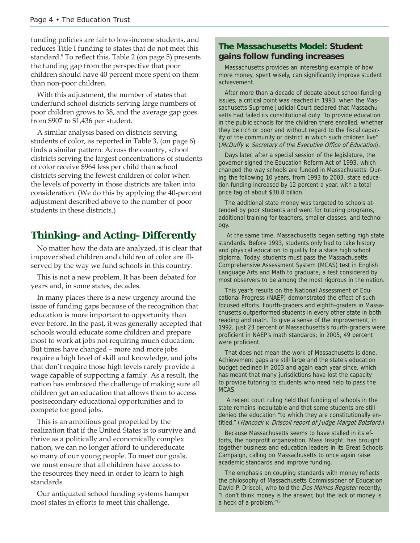funding policies are fair to low-income students, and reduces Title I funding to states that do not meet this standard.<sup>9</sup> To reflect this, Table 2 (on page 5) presents the funding gap from the perspective that poor children should have 40 percent more spent on them than non-poor children.

With this adjustment, the number of states that underfund school districts serving large numbers of poor children grows to 38, and the average gap goes from \$907 to \$1,436 per student.

A similar analysis based on districts serving students of color, as reported in Table 3, (on page 6) finds a similar pattern: Across the country, school districts serving the largest concentrations of students of color receive \$964 less per child than school districts serving the fewest children of color when the levels of poverty in those districts are taken into consideration. (We do this by applying the 40-percent adjustment described above to the number of poor students in these districts.)

# **Thinking–and Acting–Differently**

No matter how the data are analyzed, it is clear that impoverished children and children of color are illserved by the way we fund schools in this country.

This is not a new problem. It has been debated for years and, in some states, decades.

In many places there is a new urgency around the issue of funding gaps because of the recognition that education is more important to opportunity than ever before. In the past, it was generally accepted that schools would educate some children and prepare most to work at jobs not requiring much education. But times have changed – more and more jobs require a high level of skill and knowledge, and jobs that don't require those high levels rarely provide a wage capable of supporting a family. As a result, the nation has embraced the challenge of making sure all children get an education that allows them to access postsecondary educational opportunities and to compete for good jobs.

This is an ambitious goal propelled by the realization that if the United States is to survive and thrive as a politically and economically complex nation, we can no longer afford to undereducate so many of our young people. To meet our goals, we must ensure that all children have access to the resources they need in order to learn to high standards.

Our antiquated school funding systems hamper most states in efforts to meet this challenge.

## **The Massachusetts Model: Student gains follow funding increases**

Massachusetts provides an interesting example of how more money, spent wisely, can significantly improve student achievement.

After more than a decade of debate about school funding issues, a critical point was reached in 1993, when the Massachusetts Supreme Judicial Court declared that Massachusetts had failed its constitutional duty "to provide education in the public schools for the children there enrolled, whether they be rich or poor and without regard to the fiscal capacity of the community or district in which such children live" (McDuffy v. Secretary of the Executive Office of Education).

Days later, after a special session of the legislature, the governor signed the Education Reform Act of 1993, which changed the way schools are funded in Massachusetts. During the following 10 years, from 1993 to 2003, state education funding increased by 12 percent a year, with a total price tag of about \$30.8 billion.

The additional state money was targeted to schools attended by poor students and went for tutoring programs, additional training for teachers, smaller classes, and technology.

 At the same time, Massachusetts began setting high state standards. Before 1993, students only had to take history and physical education to qualify for a state high school diploma. Today, students must pass the Massachusetts Comprehensive Assessment System (MCAS) test in English Language Arts and Math to graduate, a test considered by most observers to be among the most rigorous in the nation.

This year's results on the National Assessment of Educational Progress (NAEP) demonstrated the effect of such focused efforts. Fourth-graders and eighth-graders in Massachusetts outperformed students in every other state in both reading and math. To give a sense of the improvement, in 1992, just 23 percent of Massachusetts's fourth-graders were proficient in NAEP's math standards; in 2005, 49 percent were proficient.

That does not mean the work of Massachusetts is done. Achievement gaps are still large and the state's education budget declined in 2003 and again each year since, which has meant that many jurisdictions have lost the capacity to provide tutoring to students who need help to pass the MCAS.

 A recent court ruling held that funding of schools in the state remains inequitable and that some students are still denied the education "to which they are constitutionally entitled." (Hancock v. Driscoll report of Judge Margot Botsford.)

Because Massachusetts seems to have stalled in its efforts, the nonprofit organization, Mass Insight, has brought together business and education leaders in its Great Schools Campaign, calling on Massachusetts to once again raise academic standards and improve funding.

The emphasis on coupling standards with money reflects the philosophy of Massachusetts Commissioner of Education David P. Driscoll, who told the Des Moines Register recently, "I don't think money is the answer, but the lack of money is a heck of a problem."13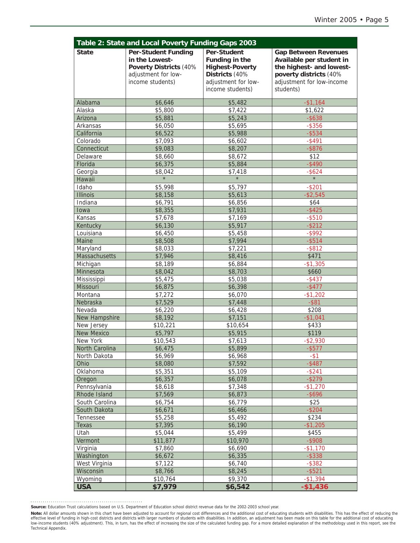|                         | Table 2: State and Local Poverty Funding Gaps 2003                                                                       |                                                                                                                      |                                                                                                                                                         |  |  |
|-------------------------|--------------------------------------------------------------------------------------------------------------------------|----------------------------------------------------------------------------------------------------------------------|---------------------------------------------------------------------------------------------------------------------------------------------------------|--|--|
| <b>State</b>            | <b>Per-Student Funding</b><br>in the Lowest-<br><b>Poverty Districts (40%</b><br>adjustment for low-<br>income students) | Per-Student<br>Funding in the<br><b>Highest-Poverty</b><br>Districts (40%<br>adjustment for low-<br>income students) | <b>Gap Between Revenues</b><br>Available per student in<br>the highest- and lowest-<br>poverty districts (40%<br>adjustment for low-income<br>students) |  |  |
| Alabama                 | \$6,646                                                                                                                  | \$5,482                                                                                                              | $-$1,164$                                                                                                                                               |  |  |
| Alaska                  | \$5,800                                                                                                                  | \$7,422                                                                                                              | \$1,622                                                                                                                                                 |  |  |
| Arizona                 | \$5,881                                                                                                                  | \$5,243                                                                                                              | $-$ \$638                                                                                                                                               |  |  |
| Arkansas                | \$6,050                                                                                                                  | \$5,695                                                                                                              | $-$ \$356                                                                                                                                               |  |  |
| California              | \$6,522                                                                                                                  | \$5,988                                                                                                              | $-$ \$534                                                                                                                                               |  |  |
| Colorado                | \$7,093                                                                                                                  | \$6,602                                                                                                              | $-$ \$491                                                                                                                                               |  |  |
| Connecticut<br>Delaware | \$9,083                                                                                                                  | \$8,207                                                                                                              | $-$ \$876<br>\$12                                                                                                                                       |  |  |
|                         | \$8,660                                                                                                                  | \$8,672                                                                                                              |                                                                                                                                                         |  |  |
| Florida<br>Georgia      | \$6,375<br>\$8,042                                                                                                       | \$5,884                                                                                                              | $-$ \$490                                                                                                                                               |  |  |
| Hawaii                  | $\star$                                                                                                                  | \$7,418<br>$\star$                                                                                                   | $-$ \$624<br>$\star$                                                                                                                                    |  |  |
| Idaho                   | \$5,998                                                                                                                  | \$5,797                                                                                                              | $-$ \$201                                                                                                                                               |  |  |
| <b>Illinois</b>         | \$8,158                                                                                                                  | \$5,613                                                                                                              | $-$ \$2,545                                                                                                                                             |  |  |
| Indiana                 | \$6,791                                                                                                                  | \$6,856                                                                                                              | \$64                                                                                                                                                    |  |  |
| Iowa                    | \$8,355                                                                                                                  | \$7,931                                                                                                              | $-$ \$425                                                                                                                                               |  |  |
| Kansas                  | \$7,678                                                                                                                  | \$7,169                                                                                                              | $-$ \$510                                                                                                                                               |  |  |
| Kentucky                | \$6,130                                                                                                                  | \$5,917                                                                                                              | $-$ \$212                                                                                                                                               |  |  |
| Louisiana               | \$6,450                                                                                                                  | \$5,458                                                                                                              | $-$ \$992                                                                                                                                               |  |  |
| Maine                   | \$8,508                                                                                                                  | \$7,994                                                                                                              | $-$ \$514                                                                                                                                               |  |  |
| Maryland                | \$8,033                                                                                                                  | \$7,221                                                                                                              | $-$ \$812                                                                                                                                               |  |  |
| Massachusetts           | \$7,946                                                                                                                  | \$8,416                                                                                                              | \$471                                                                                                                                                   |  |  |
| Michigan                | \$8,189                                                                                                                  | \$6,884                                                                                                              | $-$1,305$                                                                                                                                               |  |  |
| Minnesota               | \$8,042                                                                                                                  | \$8,703                                                                                                              | \$660                                                                                                                                                   |  |  |
| Mississippi             | \$5,475                                                                                                                  | \$5,038                                                                                                              | $-$ \$437                                                                                                                                               |  |  |
| Missouri                | \$6,875                                                                                                                  | \$6,398                                                                                                              | $-$ \$477                                                                                                                                               |  |  |
| Montana                 | \$7,272                                                                                                                  | \$6,070                                                                                                              | $-$1,202$                                                                                                                                               |  |  |
| Nebraska                | \$7,529                                                                                                                  | \$7,448                                                                                                              | $-$ \$81                                                                                                                                                |  |  |
| Nevada                  | \$6,220                                                                                                                  | \$6,428                                                                                                              | \$208                                                                                                                                                   |  |  |
| New Hampshire           | \$8,192                                                                                                                  | \$7,151                                                                                                              | $-$1,041$                                                                                                                                               |  |  |
| New Jersey              | \$10,221                                                                                                                 | \$10,654                                                                                                             | \$433                                                                                                                                                   |  |  |
| <b>New Mexico</b>       | \$5,797                                                                                                                  | \$5,915                                                                                                              | \$119                                                                                                                                                   |  |  |
| New York                | \$10,543                                                                                                                 | \$7,613                                                                                                              | $-$ \$2,930                                                                                                                                             |  |  |
| North Carolina          | \$6,475                                                                                                                  | \$5,899                                                                                                              | $-$ \$577                                                                                                                                               |  |  |
| North Dakota            | \$6,969                                                                                                                  | \$6,968                                                                                                              | $-$ \$1                                                                                                                                                 |  |  |
| Ohio                    | \$8,080                                                                                                                  | \$7,592                                                                                                              | $-$ \$487                                                                                                                                               |  |  |
| Oklahoma                | \$5,351                                                                                                                  | \$5,109                                                                                                              | $-$ \$241                                                                                                                                               |  |  |
| Oregon                  | \$6,357                                                                                                                  | \$6,078                                                                                                              | $-$ \$279                                                                                                                                               |  |  |
| Pennsylvania            | \$8,618                                                                                                                  | \$7,348                                                                                                              | $-$1,270$                                                                                                                                               |  |  |
| Rhode Island            | \$7,569                                                                                                                  | \$6,873                                                                                                              | $-$ \$696                                                                                                                                               |  |  |
| South Carolina          | \$6,754                                                                                                                  | \$6,779                                                                                                              | \$25                                                                                                                                                    |  |  |
| South Dakota            | \$6,671                                                                                                                  | \$6,466                                                                                                              | $-$ \$204                                                                                                                                               |  |  |
| Tennessee               | \$5,258                                                                                                                  | \$5,492                                                                                                              | \$234                                                                                                                                                   |  |  |
| Texas                   | \$7,395                                                                                                                  | \$6,190                                                                                                              | $-$1,205$                                                                                                                                               |  |  |
| Utah                    | \$5,044                                                                                                                  | \$5,499                                                                                                              | \$455                                                                                                                                                   |  |  |
| Vermont                 | \$11,877                                                                                                                 | \$10,970                                                                                                             | $-$ \$908<br>$-$1,170$                                                                                                                                  |  |  |
| Virginia<br>Washington  | \$7,860                                                                                                                  | \$6,690<br>\$6,335                                                                                                   | $-$ \$338                                                                                                                                               |  |  |
| West Virginia           | \$6,672                                                                                                                  |                                                                                                                      |                                                                                                                                                         |  |  |
| Wisconsin               | \$7,122<br>\$8,766                                                                                                       | \$6,740<br>\$8,245                                                                                                   | $-$ \$382<br>$-$ \$521                                                                                                                                  |  |  |
| Wyoming                 | \$10,764                                                                                                                 | \$9,370                                                                                                              | $-$1,394$                                                                                                                                               |  |  |
| <b>USA</b>              | \$7,979                                                                                                                  | \$6,542                                                                                                              | $-$1,436$                                                                                                                                               |  |  |

**Source:** Education Trust calculations based on U.S. Department of Education school district revenue data for the 2002-2003 school year.

**Note:** All dollar amounts shown in this chart have been adjusted to account for regional cost differences and the additional cost of educating students with disabilities. This has the effect of reducing the effect of redu Technical Appendix.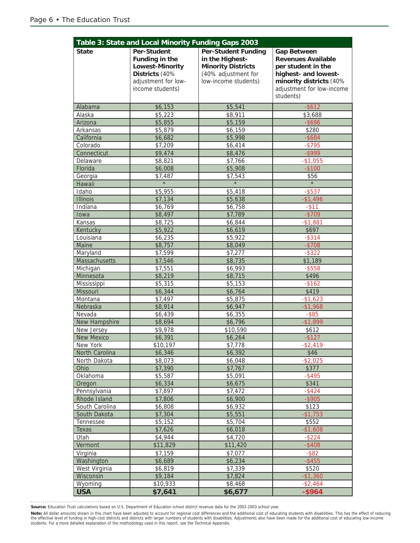|                                | Table 3: State and Local Minority Funding Gaps 2003                                                                         |                                                                                                                           |                                                                                                                                                                    |  |  |
|--------------------------------|-----------------------------------------------------------------------------------------------------------------------------|---------------------------------------------------------------------------------------------------------------------------|--------------------------------------------------------------------------------------------------------------------------------------------------------------------|--|--|
| <b>State</b>                   | <b>Per-Student</b><br>Funding in the<br><b>Lowest-Minority</b><br>Districts (40%<br>adjustment for low-<br>income students) | <b>Per-Student Funding</b><br>in the Highest-<br><b>Minority Districts</b><br>(40% adjustment for<br>low-income students) | <b>Gap Between</b><br><b>Revenues Available</b><br>per student in the<br>highest- and lowest-<br>minority districts (40%<br>adjustment for low-income<br>students) |  |  |
| Alabama                        | \$6,153                                                                                                                     | \$5,541                                                                                                                   | $-$ \$612                                                                                                                                                          |  |  |
| Alaska                         | \$5,223                                                                                                                     | \$8,911                                                                                                                   | \$3,688                                                                                                                                                            |  |  |
| Arizona                        | \$5,855                                                                                                                     | \$5,159                                                                                                                   | $-$ \$696                                                                                                                                                          |  |  |
| Arkansas                       | \$5,879                                                                                                                     | \$6,159                                                                                                                   | \$280                                                                                                                                                              |  |  |
| California                     | \$6,682                                                                                                                     | \$5,998                                                                                                                   | $-$ \$684                                                                                                                                                          |  |  |
| Colorado                       | \$7,209                                                                                                                     | \$6,414                                                                                                                   | $-$ \$795                                                                                                                                                          |  |  |
| Connecticut                    | \$9,474                                                                                                                     | \$8,476                                                                                                                   | $-$ \$999                                                                                                                                                          |  |  |
| Delaware                       | \$8,821                                                                                                                     | \$7,766                                                                                                                   | $-$1,055$                                                                                                                                                          |  |  |
| Florida                        | \$6,008                                                                                                                     | \$5,908                                                                                                                   | $-$100$                                                                                                                                                            |  |  |
| Georgia                        | \$7,487                                                                                                                     | \$7,543                                                                                                                   | \$56                                                                                                                                                               |  |  |
| Hawaii                         | $\star$                                                                                                                     | $\star$                                                                                                                   | $\star$                                                                                                                                                            |  |  |
| Idaho                          | \$5,955                                                                                                                     | \$5,418                                                                                                                   | $-$ \$537                                                                                                                                                          |  |  |
| <b>Illinois</b>                | \$7,134                                                                                                                     | \$5,638                                                                                                                   | $-$1,496$                                                                                                                                                          |  |  |
| Indiana                        | \$6,769                                                                                                                     | \$6,758                                                                                                                   | $-$ \$11                                                                                                                                                           |  |  |
| Iowa                           | \$8,497                                                                                                                     | \$7,789                                                                                                                   | $-$709$                                                                                                                                                            |  |  |
| Kansas                         | \$8,725                                                                                                                     | \$6,844                                                                                                                   | $-$1,881$                                                                                                                                                          |  |  |
| Kentucky                       | \$5,922                                                                                                                     | \$6,619                                                                                                                   | \$697                                                                                                                                                              |  |  |
| Louisiana                      | \$6,235                                                                                                                     | \$5,922                                                                                                                   | $-$ \$314                                                                                                                                                          |  |  |
| Maine                          | \$8,757                                                                                                                     | \$8,049                                                                                                                   | $-$708$                                                                                                                                                            |  |  |
| Maryland<br>Massachusetts      | \$7,599<br>\$7,546                                                                                                          | \$7,277                                                                                                                   | $-$ \$322<br>\$1,189                                                                                                                                               |  |  |
| Michigan                       | \$7,551                                                                                                                     | \$8,735<br>\$6,993                                                                                                        | $-$ \$558                                                                                                                                                          |  |  |
| Minnesota                      | \$8,219                                                                                                                     | \$8,715                                                                                                                   | \$496                                                                                                                                                              |  |  |
| Mississippi                    | \$5,315                                                                                                                     | \$5,153                                                                                                                   | $-$162$                                                                                                                                                            |  |  |
| Missouri                       | \$6,344                                                                                                                     | \$6,764                                                                                                                   | \$419                                                                                                                                                              |  |  |
| Montana                        | \$7,497                                                                                                                     | \$5,875                                                                                                                   | $-$1,623$                                                                                                                                                          |  |  |
| Nebraska                       | \$8,914                                                                                                                     | \$6,947                                                                                                                   | $-$1,968$                                                                                                                                                          |  |  |
| Nevada                         | \$6,439                                                                                                                     | \$6,355                                                                                                                   | $-$ \$85                                                                                                                                                           |  |  |
| New Hampshire                  | \$8,694                                                                                                                     | \$6,796                                                                                                                   | $-$1,899$                                                                                                                                                          |  |  |
| New Jersey                     | \$9,978                                                                                                                     | \$10,590                                                                                                                  | \$612                                                                                                                                                              |  |  |
| <b>New Mexico</b>              | \$6,391                                                                                                                     | \$6,264                                                                                                                   | $-$ \$127                                                                                                                                                          |  |  |
| New York                       | \$10,197                                                                                                                    | \$7,778                                                                                                                   | \$2,419                                                                                                                                                            |  |  |
| North Carolina                 | \$6,346                                                                                                                     | \$6,392                                                                                                                   | \$46                                                                                                                                                               |  |  |
| North Dakota                   | \$8,073                                                                                                                     | \$6,048                                                                                                                   | $-$ \$2,025                                                                                                                                                        |  |  |
| Ohio                           | \$7,390                                                                                                                     | \$7,767                                                                                                                   | \$377                                                                                                                                                              |  |  |
| Oklahoma                       | \$5,587                                                                                                                     | \$5,091                                                                                                                   | $-$ \$495                                                                                                                                                          |  |  |
| Oregon                         | \$6,334                                                                                                                     | \$6,675                                                                                                                   | \$341                                                                                                                                                              |  |  |
| Pennsylvania                   | \$7,897                                                                                                                     | \$7,472<br>\$6,900                                                                                                        | $-$ \$424                                                                                                                                                          |  |  |
| Rhode Island                   | \$7,806                                                                                                                     | \$6,932                                                                                                                   | $-$ \$905                                                                                                                                                          |  |  |
| South Carolina<br>South Dakota | \$6,808<br>\$7,304                                                                                                          | \$5,551                                                                                                                   | \$123<br>$-$1,753$                                                                                                                                                 |  |  |
| Tennessee                      | \$5,152                                                                                                                     | \$5,704                                                                                                                   | \$552                                                                                                                                                              |  |  |
| Texas                          | \$7,626                                                                                                                     | \$6,018                                                                                                                   | $-$1,608$                                                                                                                                                          |  |  |
| Utah                           | \$4,944                                                                                                                     | \$4,720                                                                                                                   | $-$ \$224                                                                                                                                                          |  |  |
| Vermont                        | \$11,829                                                                                                                    | \$11,420                                                                                                                  | $-$ \$408                                                                                                                                                          |  |  |
| Virginia                       | \$7,159                                                                                                                     | \$7,077                                                                                                                   | $-$ \$82                                                                                                                                                           |  |  |
| Washington                     | \$6,689                                                                                                                     | \$6,234                                                                                                                   | $-$ \$455                                                                                                                                                          |  |  |
| West Virginia                  | \$6,819                                                                                                                     | \$7,339                                                                                                                   | \$520                                                                                                                                                              |  |  |
| Wisconsin                      | \$9,184                                                                                                                     | \$7,824                                                                                                                   | $-$1,360$                                                                                                                                                          |  |  |
| Wyoming                        | \$10,933                                                                                                                    | \$8,468                                                                                                                   | $-$ \$2,464                                                                                                                                                        |  |  |
| <b>USA</b>                     | \$7,641                                                                                                                     | \$6,677                                                                                                                   | $-$ \$964                                                                                                                                                          |  |  |

**Source:** Education Trust calculations based on U.S. Department of Education school district revenue data for the 2002-2003 school year.

**Note:** All dollar amounts shown in this chart have been adjusted to account for regional cost differences and the additional cost of educating students with disabilities. This has the effect of reducing<br>the effective leve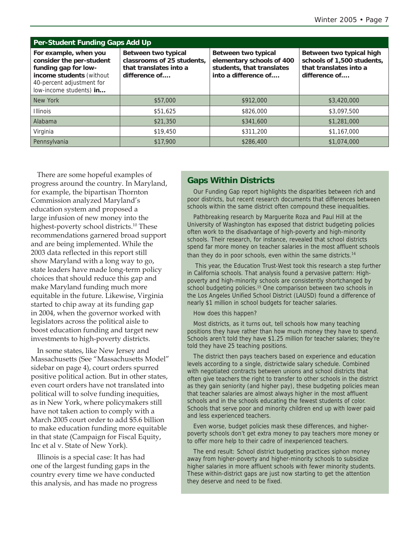| <b>Per-Student Funding Gaps Add Up</b>                                                                                                                        |                                                                                              |                                                                                                       |                                                                                                   |  |
|---------------------------------------------------------------------------------------------------------------------------------------------------------------|----------------------------------------------------------------------------------------------|-------------------------------------------------------------------------------------------------------|---------------------------------------------------------------------------------------------------|--|
| For example, when you<br>consider the per-student<br>funding gap for low-<br>income students (without<br>40-percent adjustment for<br>low-income students) in | Between two typical<br>classrooms of 25 students.<br>that translates into a<br>difference of | Between two typical<br>elementary schools of 400<br>students, that translates<br>into a difference of | Between two typical high<br>schools of 1,500 students,<br>that translates into a<br>difference of |  |
| New York                                                                                                                                                      | \$57,000                                                                                     | \$912,000                                                                                             | \$3,420,000                                                                                       |  |
| <b>Illinois</b>                                                                                                                                               | \$51,625                                                                                     | \$826,000                                                                                             | \$3,097,500                                                                                       |  |
| Alabama                                                                                                                                                       | \$21,350                                                                                     | \$341,600                                                                                             | \$1,281,000                                                                                       |  |
| Virginia                                                                                                                                                      | \$19,450                                                                                     | \$311,200                                                                                             | \$1,167,000                                                                                       |  |
| Pennsylvania                                                                                                                                                  | \$17,900                                                                                     | \$286,400                                                                                             | \$1,074,000                                                                                       |  |

There are some hopeful examples of progress around the country. In Maryland, for example, the bipartisan Thornton Commission analyzed Maryland's education system and proposed a large infusion of new money into the highest-poverty school districts.<sup>10</sup> These recommendations garnered broad support and are being implemented. While the 2003 data reflected in this report still show Maryland with a long way to go, state leaders have made long-term policy choices that should reduce this gap and make Maryland funding much more equitable in the future. Likewise, Virginia started to chip away at its funding gap in 2004, when the governor worked with legislators across the political aisle to boost education funding and target new investments to high-poverty districts.

In some states, like New Jersey and Massachusetts (See "Massachusetts Model" sidebar on page 4), court orders spurred positive political action. But in other states, even court orders have not translated into political will to solve funding inequities, as in New York, where policymakers still have not taken action to comply with a March 2005 court order to add \$5.6 billion to make education funding more equitable in that state (Campaign for Fiscal Equity, Inc et al v. State of New York).

Illinois is a special case: It has had one of the largest funding gaps in the country every time we have conducted this analysis, and has made no progress

### **Gaps Within Districts**

Our Funding Gap report highlights the disparities between rich and poor districts, but recent research documents that differences between schools within the same district often compound these inequalities.

Pathbreaking research by Marguerite Roza and Paul Hill at the University of Washington has exposed that district budgeting policies often work to the disadvantage of high-poverty and high-minority schools. Their research, for instance, revealed that school districts spend far more money on teacher salaries in the most affluent schools than they do in poor schools, even within the same districts. $14$ 

 This year, the Education Trust-West took this research a step further in California schools. That analysis found a pervasive pattern: Highpoverty and high-minority schools are consistently shortchanged by school budgeting policies.<sup>15</sup> One comparison between two schools in the Los Angeles Unified School District (LAUSD) found a difference of nearly \$1 million in school budgets for teacher salaries.

### How does this happen?

Most districts, as it turns out, tell schools how many teaching positions they have rather than how much money they have to spend. Schools aren't told they have \$1.25 million for teacher salaries; they're told they have 25 teaching positions.

The district then pays teachers based on experience and education levels according to a single, districtwide salary schedule. Combined with negotiated contracts between unions and school districts that often give teachers the right to transfer to other schools in the district as they gain seniority (and higher pay), these budgeting policies mean that teacher salaries are almost always higher in the most affluent schools and in the schools educating the fewest students of color. Schools that serve poor and minority children end up with lower paid and less experienced teachers.

Even worse, budget policies mask these differences, and higherpoverty schools don't get extra money to pay teachers more money or to offer more help to their cadre of inexperienced teachers.

The end result: School district budgeting practices siphon money away from higher-poverty and higher-minority schools to subsidize higher salaries in more affluent schools with fewer minority students. These within-district gaps are just now starting to get the attention they deserve and need to be fixed.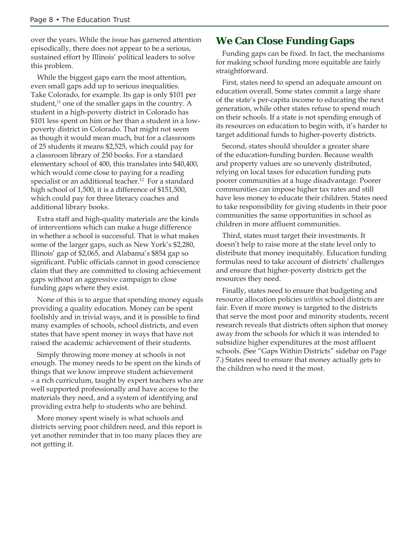over the years. While the issue has garnered attention episodically, there does not appear to be a serious, sustained effort by Illinois' political leaders to solve this problem.

While the biggest gaps earn the most attention, even small gaps add up to serious inequalities. Take Colorado, for example. Its gap is only \$101 per student, $11$  one of the smaller gaps in the country. A student in a high-poverty district in Colorado has \$101 less spent on him or her than a student in a lowpoverty district in Colorado. That might not seem as though it would mean much, but for a classroom of 25 students it means \$2,525, which could pay for a classroom library of 250 books. For a standard elementary school of 400, this translates into \$40,400, which would come close to paying for a reading specialist or an additional teacher.<sup>12</sup> For a standard high school of 1,500, it is a difference of \$151,500, which could pay for three literacy coaches and additional library books.

Extra staff and high-quality materials are the kinds of interventions which can make a huge difference in whether a school is successful. That is what makes some of the larger gaps, such as New York's \$2,280, Illinois' gap of \$2,065, and Alabama's \$854 gap so significant. Public officials cannot in good conscience claim that they are committed to closing achievement gaps without an aggressive campaign to close funding gaps where they exist.

None of this is to argue that spending money equals providing a quality education. Money can be spent foolishly and in trivial ways, and it is possible to find many examples of schools, school districts, and even states that have spent money in ways that have not raised the academic achievement of their students.

Simply throwing more money at schools is not enough. The money needs to be spent on the kinds of things that we know improve student achievement – a rich curriculum, taught by expert teachers who are well supported professionally and have access to the materials they need, and a system of identifying and providing extra help to students who are behind.

More money spent wisely is what schools and districts serving poor children need, and this report is yet another reminder that in too many places they are not getting it.

# **We Can Close Funding Gaps**

Funding gaps can be fixed. In fact, the mechanisms for making school funding more equitable are fairly straightforward.

First, states need to spend an adequate amount on education overall. Some states commit a large share of the state's per-capita income to educating the next generation, while other states refuse to spend much on their schools. If a state is not spending enough of its resources on education to begin with, it's harder to target additional funds to higher-poverty districts.

Second, states should shoulder a greater share of the education-funding burden. Because wealth and property values are so unevenly distributed, relying on local taxes for education funding puts poorer communities at a huge disadvantage. Poorer communities can impose higher tax rates and still have less money to educate their children. States need to take responsibility for giving students in their poor communities the same opportunities in school as children in more affluent communities.

Third, states must target their investments. It doesn't help to raise more at the state level only to distribute that money inequitably. Education funding formulas need to take account of districts' challenges and ensure that higher-poverty districts get the resources they need.

Finally, states need to ensure that budgeting and resource allocation policies *within* school districts are fair. Even if more money is targeted to the districts that serve the most poor and minority students, recent research reveals that districts often siphon that money away from the schools for which it was intended to subsidize higher expenditures at the most affluent schools. (See "Gaps Within Districts" sidebar on Page 7.) States need to ensure that money actually gets to the children who need it the most.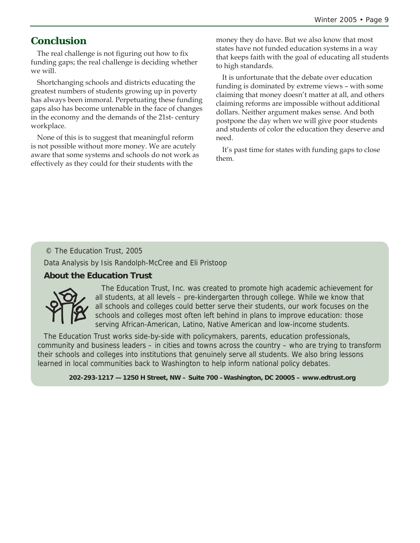# **Conclusion**

The real challenge is not figuring out how to fix funding gaps; the real challenge is deciding whether we will.

Shortchanging schools and districts educating the greatest numbers of students growing up in poverty has always been immoral. Perpetuating these funding gaps also has become untenable in the face of changes in the economy and the demands of the 21st- century workplace.

None of this is to suggest that meaningful reform is not possible without more money. We are acutely aware that some systems and schools do not work as effectively as they could for their students with the

money they do have. But we also know that most states have not funded education systems in a way that keeps faith with the goal of educating all students to high standards.

It is unfortunate that the debate over education funding is dominated by extreme views – with some claiming that money doesn't matter at all, and others claiming reforms are impossible without additional dollars. Neither argument makes sense. And both postpone the day when we will give poor students and students of color the education they deserve and need.

It's past time for states with funding gaps to close them.

### © The Education Trust, 2005

Data Analysis by Isis Randolph-McCree and Eli Pristoop

### **About the Education Trust**



The Education Trust, Inc. was created to promote high academic achievement for all students, at all levels – pre-kindergarten through college. While we know that all schools and colleges could better serve their students, our work focuses on the schools and colleges most often left behind in plans to improve education: those serving African-American, Latino, Native American and low-income students.

The Education Trust works side-by-side with policymakers, parents, education professionals, community and business leaders – in cities and towns across the country – who are trying to transform their schools and colleges into institutions that genuinely serve all students. We also bring lessons learned in local communities back to Washington to help inform national policy debates.

**202-293-1217 — 1250 H Street, NW – Suite 700 –Washington, DC 20005 – www.edtrust.org**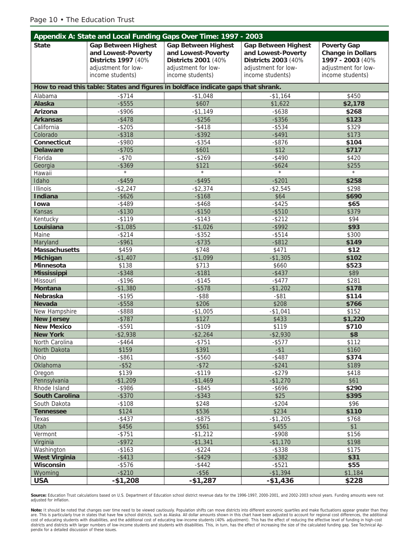### Page 10 • The Education Trust

| Appendix A: State and Local Funding Gaps Over Time: 1997 - 2003 |                                                                                                                    |                                                                                                                    |                                                                                                                    |                                                                                                               |
|-----------------------------------------------------------------|--------------------------------------------------------------------------------------------------------------------|--------------------------------------------------------------------------------------------------------------------|--------------------------------------------------------------------------------------------------------------------|---------------------------------------------------------------------------------------------------------------|
| <b>State</b>                                                    | <b>Gap Between Highest</b><br>and Lowest-Poverty<br>Districts 1997 (40%<br>adjustment for low-<br>income students) | <b>Gap Between Highest</b><br>and Lowest-Poverty<br>Districts 2001 (40%<br>adjustment for low-<br>income students) | <b>Gap Between Highest</b><br>and Lowest-Poverty<br>Districts 2003 (40%<br>adjustment for low-<br>income students) | <b>Poverty Gap</b><br><b>Change in Dollars</b><br>1997 - 2003 (40%<br>adjustment for low-<br>income students) |
|                                                                 |                                                                                                                    |                                                                                                                    |                                                                                                                    |                                                                                                               |
|                                                                 | How to read this table: States and figures in boldface indicate gaps that shrank.                                  |                                                                                                                    |                                                                                                                    |                                                                                                               |
| Alabama                                                         | $-$ \$714                                                                                                          | $-$1,048$                                                                                                          | $-$1,164$                                                                                                          | \$450                                                                                                         |
| <b>Alaska</b>                                                   | $-$ \$555                                                                                                          | \$607                                                                                                              | \$1,622                                                                                                            | \$2,178                                                                                                       |
| Arizona                                                         | $-$ \$906                                                                                                          | $-$1,149$                                                                                                          | $-$ \$638                                                                                                          | \$268                                                                                                         |
| <b>Arkansas</b>                                                 | $-$ \$478                                                                                                          | $-$ \$256                                                                                                          | $-$ \$356                                                                                                          | \$123                                                                                                         |
| California                                                      | $-$ \$205                                                                                                          | $-$ \$418                                                                                                          | $-$ \$534                                                                                                          | \$329                                                                                                         |
| Colorado                                                        | $-$ \$318                                                                                                          | $-$ \$392                                                                                                          | $-$ \$491                                                                                                          | \$173                                                                                                         |
| Connecticut                                                     | $-$ \$980                                                                                                          | $-$ \$354                                                                                                          | $-$ \$876                                                                                                          | \$104                                                                                                         |
| <b>Delaware</b>                                                 | $-$705$                                                                                                            | \$601                                                                                                              | \$12                                                                                                               | \$717                                                                                                         |
| Florida                                                         | $-$70$                                                                                                             | $-$ \$269                                                                                                          | $-$ \$490                                                                                                          | \$420                                                                                                         |
| Georgia                                                         | $-$ \$369<br>$\star$                                                                                               | \$121<br>$\star$                                                                                                   | $-$ \$624<br>$\star$                                                                                               | \$255<br>$\star$                                                                                              |
| Hawaii                                                          |                                                                                                                    |                                                                                                                    |                                                                                                                    | \$258                                                                                                         |
| Idaho<br><b>Illinois</b>                                        | $-$ \$459<br>$-$ \$2,247                                                                                           | $-$ \$495<br>$-$ \$2,374                                                                                           | $-$ \$201<br>$- $2,545$                                                                                            | \$298                                                                                                         |
| <b>Indiana</b>                                                  | $-$ \$626                                                                                                          | $-$168$                                                                                                            | \$64                                                                                                               | \$690                                                                                                         |
| Iowa                                                            | $-$ \$489                                                                                                          | $-$ \$468                                                                                                          | $-$ \$425                                                                                                          | \$65                                                                                                          |
| Kansas                                                          | $-$130$                                                                                                            | $-$ \$150                                                                                                          | $-$ \$510                                                                                                          | \$379                                                                                                         |
| Kentucky                                                        | $-$ \$119                                                                                                          | $-$ \$143                                                                                                          | $-$ \$212                                                                                                          | \$94                                                                                                          |
| Louisiana                                                       | $-$1,085$                                                                                                          | $-$1,026$                                                                                                          | $-$ \$992                                                                                                          | \$93                                                                                                          |
| Maine                                                           | $-$ \$214                                                                                                          | $-$ \$352                                                                                                          | $-$ \$514                                                                                                          | \$300                                                                                                         |
| Maryland                                                        | $-$ \$961                                                                                                          | $-$ \$735                                                                                                          | $-$ \$812                                                                                                          | \$149                                                                                                         |
| <b>Massachusetts</b>                                            | \$459                                                                                                              | \$748                                                                                                              | \$471                                                                                                              | \$12                                                                                                          |
| <b>Michigan</b>                                                 | $-$1,407$                                                                                                          | $-$1,099$                                                                                                          | $-$1,305$                                                                                                          | \$102                                                                                                         |
| Minnesota                                                       | \$138                                                                                                              | \$713                                                                                                              | \$660                                                                                                              | \$523                                                                                                         |
| <b>Mississippi</b>                                              | $-$ \$348                                                                                                          | $-$ \$181                                                                                                          | $-$ \$437                                                                                                          | \$89                                                                                                          |
| Missouri                                                        | $-$196$                                                                                                            | $-$145$                                                                                                            | $-$ \$477                                                                                                          | \$281                                                                                                         |
| <b>Montana</b>                                                  | $-$1,380$                                                                                                          | $-$ \$578                                                                                                          | $-$1,202$                                                                                                          | \$178                                                                                                         |
| Nebraska                                                        | $-$ \$195                                                                                                          | $-$ \$88                                                                                                           | $-$ \$81                                                                                                           | \$114                                                                                                         |
| <b>Nevada</b>                                                   | $-$ \$558                                                                                                          | \$206                                                                                                              | \$208                                                                                                              | \$766                                                                                                         |
| New Hampshire                                                   | -\$888                                                                                                             | $-$1,005$                                                                                                          | $-$1,041$                                                                                                          | \$152                                                                                                         |
| <b>New Jersey</b>                                               | $-$ \$787                                                                                                          | \$127                                                                                                              | \$433                                                                                                              | \$1,220                                                                                                       |
| <b>New Mexico</b>                                               | $-$ \$591                                                                                                          | $-$109$                                                                                                            | \$119                                                                                                              | \$710                                                                                                         |
| <b>New York</b>                                                 | $-$ \$2,938                                                                                                        | $-$ \$2,264                                                                                                        | $-$ \$2,930                                                                                                        | \$8                                                                                                           |
| North Carolina                                                  | $-$ \$464                                                                                                          | $-$ \$751                                                                                                          | $-$ \$577                                                                                                          | \$112                                                                                                         |
| North Dakota                                                    | \$159                                                                                                              | \$391                                                                                                              | $-$ \$1                                                                                                            | \$160                                                                                                         |
| Ohio                                                            | $-$ \$861                                                                                                          | $-$ \$560                                                                                                          | $-$ \$487                                                                                                          | \$374                                                                                                         |
| Oklahoma                                                        | $-$ \$52                                                                                                           | $-$ \$72                                                                                                           | $-$ \$241                                                                                                          | \$189                                                                                                         |
| Oregon                                                          | \$139                                                                                                              | $-$ \$119                                                                                                          | $-$ \$279                                                                                                          | \$418                                                                                                         |
| Pennsylvania                                                    | $-$1,209$                                                                                                          | $-$1,469$                                                                                                          | $-$1,270$                                                                                                          | \$61                                                                                                          |
| Rhode Island<br><b>South Carolina</b>                           | $-$ \$986<br>$-$ \$370                                                                                             | $-$ \$845<br>$-$ \$343                                                                                             | $-$ \$696<br>\$25                                                                                                  | \$290<br>\$395                                                                                                |
| South Dakota                                                    | $-$108$                                                                                                            | \$248                                                                                                              | $-$ \$204                                                                                                          | \$96                                                                                                          |
| <b>Tennessee</b>                                                | \$124                                                                                                              | \$536                                                                                                              | \$234                                                                                                              | \$110                                                                                                         |
| Texas                                                           | $-$ \$437                                                                                                          | $-$ \$875                                                                                                          | $-$1,205$                                                                                                          | \$768                                                                                                         |
| Utah                                                            | \$456                                                                                                              | \$561                                                                                                              | \$455                                                                                                              | \$1                                                                                                           |
| Vermont                                                         | $- $751$                                                                                                           | $-$1,212$                                                                                                          | $-$ \$908                                                                                                          | \$156                                                                                                         |
| Virginia                                                        | $-$ \$972                                                                                                          | $-$1,341$                                                                                                          | $-$1,170$                                                                                                          | \$198                                                                                                         |
| Washington                                                      | $-$163$                                                                                                            | $-$ \$224                                                                                                          | $-$ \$338                                                                                                          | \$175                                                                                                         |
| <b>West Virginia</b>                                            | $-$ \$413                                                                                                          | $-$ \$429                                                                                                          | $-$ \$382                                                                                                          | \$31                                                                                                          |
| Wisconsin                                                       | $-$ \$576                                                                                                          | $-$ \$442                                                                                                          | $-$ \$521                                                                                                          | \$55                                                                                                          |
| Wyoming                                                         | $-$ \$210                                                                                                          | $-$ \$56                                                                                                           | $-$1,394$                                                                                                          | \$1,184                                                                                                       |
| <b>USA</b>                                                      | $- $1,208$                                                                                                         | $-$1,287$                                                                                                          | $-$1,436$                                                                                                          | \$228                                                                                                         |

**Source:** Education Trust calculations based on U.S. Department of Education school district revenue data for the 1996-1997, 2000-2001, and 2002-2003 school years. Funding amounts were not adjusted for inflation.

Note: It should be noted that changes over time need to be viewed cautiously. Population shifts can move districts into different economic quartiles and make fluctuations appear greater than they are. This is particularly true in states that have few school districts, such as Alaska. All dollar amounts shown in this chart have been adjusted to account for regional cost differences, the additional cost differences, pendix for a detailed discussion of these issues.